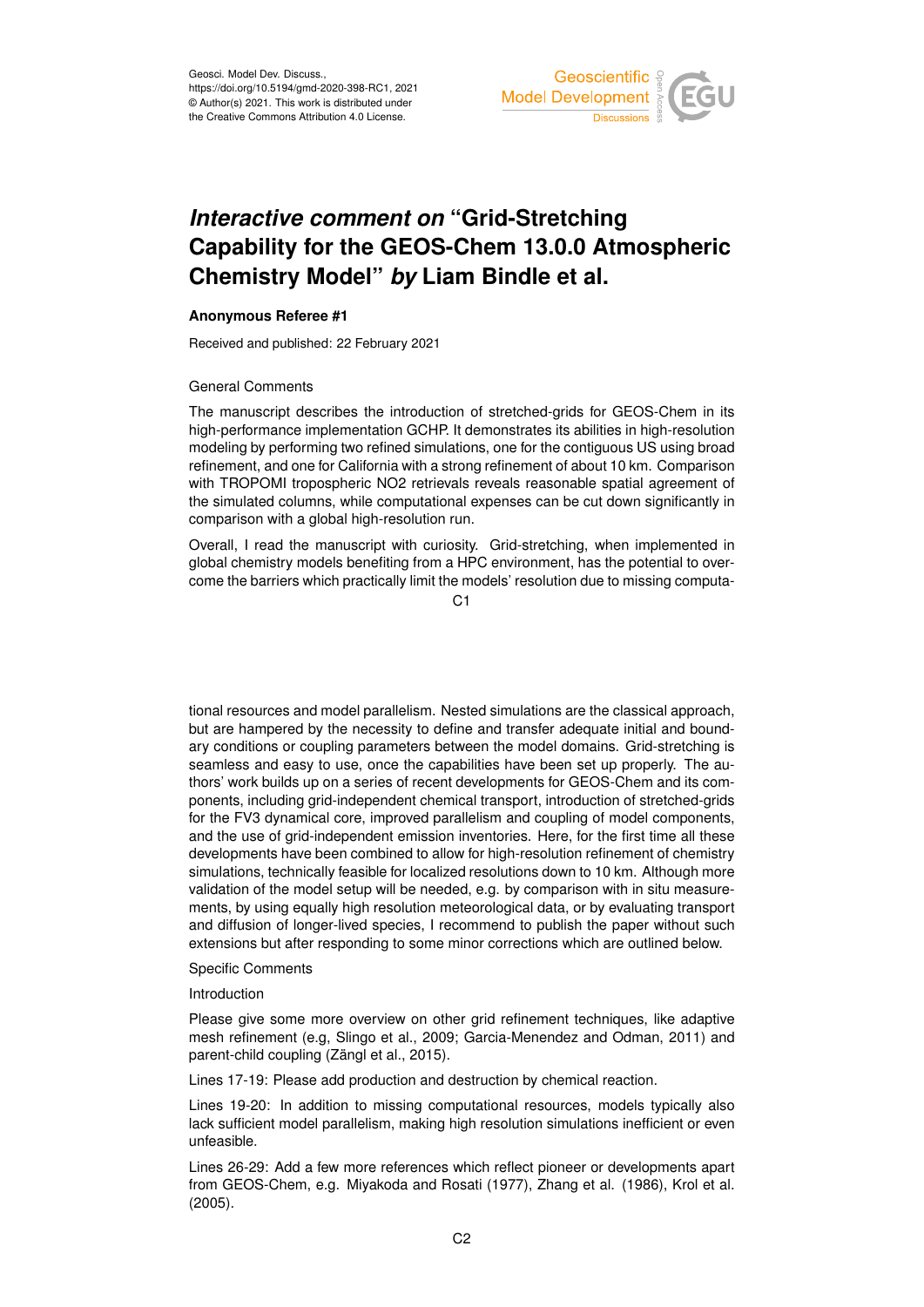

# *Interactive comment on* **"Grid-Stretching Capability for the GEOS-Chem 13.0.0 Atmospheric Chemistry Model"** *by* **Liam Bindle et al.**

## **Anonymous Referee #1**

Received and published: 22 February 2021

### General Comments

The manuscript describes the introduction of stretched-grids for GEOS-Chem in its high-performance implementation GCHP. It demonstrates its abilities in high-resolution modeling by performing two refined simulations, one for the contiguous US using broad refinement, and one for California with a strong refinement of about 10 km. Comparison with TROPOMI tropospheric NO2 retrievals reveals reasonable spatial agreement of the simulated columns, while computational expenses can be cut down significantly in comparison with a global high-resolution run.

Overall, I read the manuscript with curiosity. Grid-stretching, when implemented in global chemistry models benefiting from a HPC environment, has the potential to overcome the barriers which practically limit the models' resolution due to missing computa-

C1

tional resources and model parallelism. Nested simulations are the classical approach, but are hampered by the necessity to define and transfer adequate initial and boundary conditions or coupling parameters between the model domains. Grid-stretching is seamless and easy to use, once the capabilities have been set up properly. The authors' work builds up on a series of recent developments for GEOS-Chem and its components, including grid-independent chemical transport, introduction of stretched-grids for the FV3 dynamical core, improved parallelism and coupling of model components, and the use of grid-independent emission inventories. Here, for the first time all these developments have been combined to allow for high-resolution refinement of chemistry simulations, technically feasible for localized resolutions down to 10 km. Although more validation of the model setup will be needed, e.g. by comparison with in situ measurements, by using equally high resolution meteorological data, or by evaluating transport and diffusion of longer-lived species, I recommend to publish the paper without such extensions but after responding to some minor corrections which are outlined below.

### Specific Comments

### Introduction

Please give some more overview on other grid refinement techniques, like adaptive mesh refinement (e.g, Slingo et al., 2009; Garcia-Menendez and Odman, 2011) and parent-child coupling (Zängl et al., 2015).

Lines 17-19: Please add production and destruction by chemical reaction.

Lines 19-20: In addition to missing computational resources, models typically also lack sufficient model parallelism, making high resolution simulations inefficient or even unfeasible.

Lines 26-29: Add a few more references which reflect pioneer or developments apart from GEOS-Chem, e.g. Miyakoda and Rosati (1977), Zhang et al. (1986), Krol et al. (2005).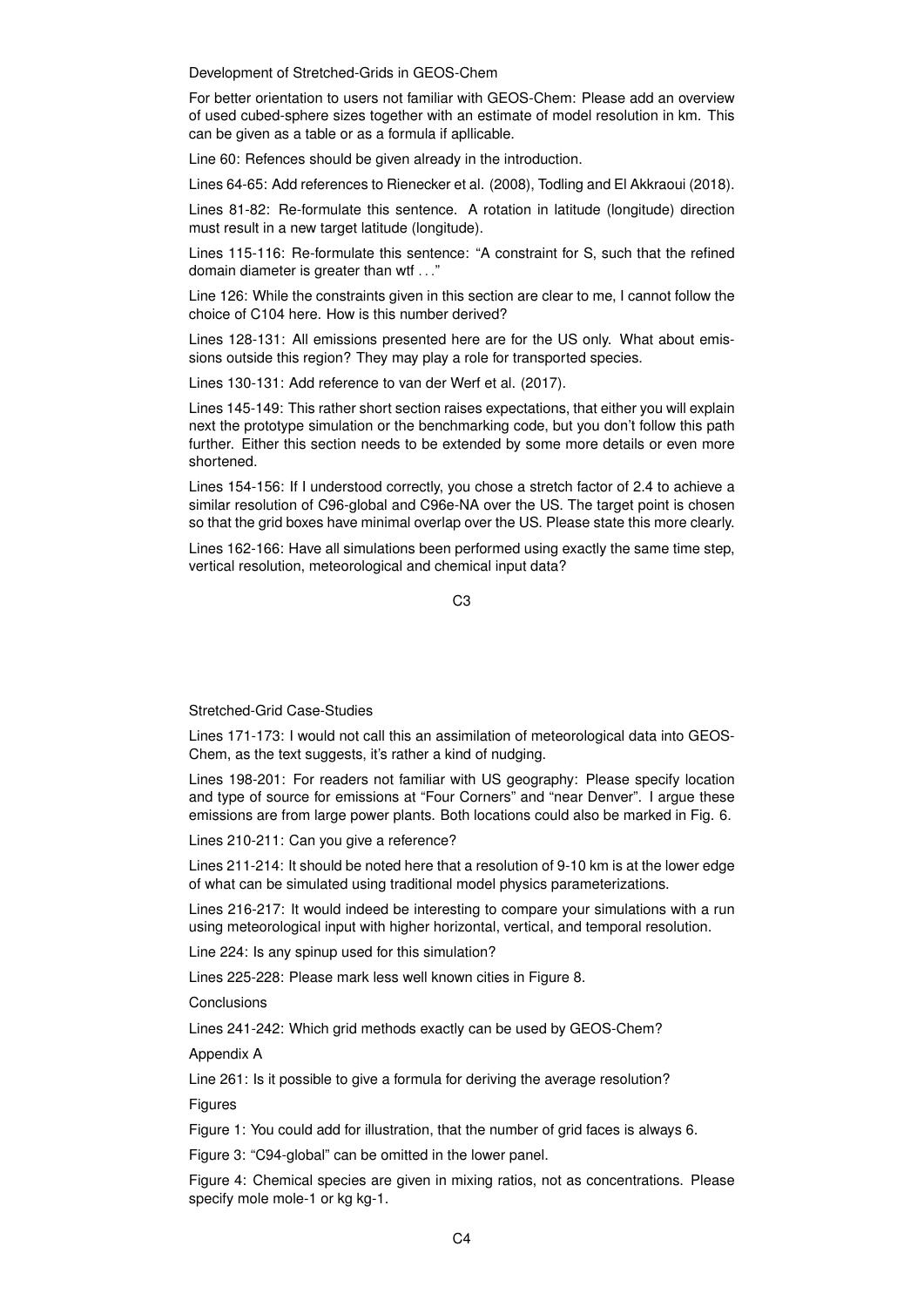Development of Stretched-Grids in GEOS-Chem

For better orientation to users not familiar with GEOS-Chem: Please add an overview of used cubed-sphere sizes together with an estimate of model resolution in km. This can be given as a table or as a formula if apllicable.

Line 60: Refences should be given already in the introduction.

Lines 64-65: Add references to Rienecker et al. (2008), Todling and El Akkraoui (2018).

Lines 81-82: Re-formulate this sentence. A rotation in latitude (longitude) direction must result in a new target latitude (longitude).

Lines 115-116: Re-formulate this sentence: "A constraint for S, such that the refined domain diameter is greater than wtf . . ."

Line 126: While the constraints given in this section are clear to me, I cannot follow the choice of C104 here. How is this number derived?

Lines 128-131: All emissions presented here are for the US only. What about emissions outside this region? They may play a role for transported species.

Lines 130-131: Add reference to van der Werf et al. (2017).

Lines 145-149: This rather short section raises expectations, that either you will explain next the prototype simulation or the benchmarking code, but you don't follow this path further. Either this section needs to be extended by some more details or even more shortened.

Lines 154-156: If I understood correctly, you chose a stretch factor of 2.4 to achieve a similar resolution of C96-global and C96e-NA over the US. The target point is chosen so that the grid boxes have minimal overlap over the US. Please state this more clearly.

Lines 162-166: Have all simulations been performed using exactly the same time step, vertical resolution, meteorological and chemical input data?

C3

Stretched-Grid Case-Studies

Lines 171-173: I would not call this an assimilation of meteorological data into GEOS-Chem, as the text suggests, it's rather a kind of nudging.

Lines 198-201: For readers not familiar with US geography: Please specify location and type of source for emissions at "Four Corners" and "near Denver". I argue these emissions are from large power plants. Both locations could also be marked in Fig. 6.

Lines 210-211: Can you give a reference?

Lines 211-214: It should be noted here that a resolution of 9-10 km is at the lower edge of what can be simulated using traditional model physics parameterizations.

Lines 216-217: It would indeed be interesting to compare your simulations with a run using meteorological input with higher horizontal, vertical, and temporal resolution.

Line 224: Is any spinup used for this simulation?

Lines 225-228: Please mark less well known cities in Figure 8.

**Conclusions** 

Lines 241-242: Which grid methods exactly can be used by GEOS-Chem?

Appendix A

Line 261: Is it possible to give a formula for deriving the average resolution?

**Figures** 

Figure 1: You could add for illustration, that the number of grid faces is always 6.

Figure 3: "C94-global" can be omitted in the lower panel.

Figure 4: Chemical species are given in mixing ratios, not as concentrations. Please specify mole mole-1 or kg kg-1.